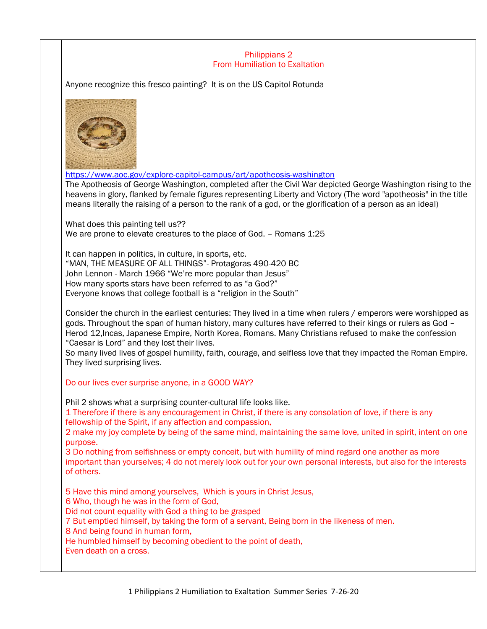## Philippians 2 From Humiliation to Exaltation

Anyone recognize this fresco painting? It is on the US Capitol Rotunda



<https://www.aoc.gov/explore-capitol-campus/art/apotheosis-washington>

The Apotheosis of George Washington, completed after the Civil War depicted George Washington rising to the heavens in glory, flanked by female figures representing Liberty and Victory (The word "apotheosis" in the title means literally the raising of a person to the rank of a god, or the glorification of a person as an ideal)

What does this painting tell us?? We are prone to elevate creatures to the place of God. - Romans 1:25

It can happen in politics, in culture, in sports, etc. "MAN, THE MEASURE OF ALL THINGS"- Protagoras 490-420 BC John Lennon - March 1966 "We're more popular than Jesus" How many sports stars have been referred to as "a God?" Everyone knows that college football is a "religion in the South"

Consider the church in the earliest centuries: They lived in a time when rulers / emperors were worshipped as gods. Throughout the span of human history, many cultures have referred to their kings or rulers as God – Herod 12,Incas, Japanese Empire, North Korea, Romans. Many Christians refused to make the confession "Caesar is Lord" and they lost their lives.

So many lived lives of gospel humility, faith, courage, and selfless love that they impacted the Roman Empire. They lived surprising lives.

## Do our lives ever surprise anyone, in a GOOD WAY?

Phil 2 shows what a surprising counter-cultural life looks like.

1 Therefore if there is any encouragement in Christ, if there is any consolation of love, if there is any fellowship of the Spirit, if any affection and compassion,

2 make my joy complete by being of the same mind, maintaining the same love, united in spirit, intent on one purpose.

3 Do nothing from selfishness or empty conceit, but with humility of mind regard one another as more important than yourselves; 4 do not merely look out for your own personal interests, but also for the interests of others.

5 Have this mind among yourselves, Which is yours in Christ Jesus,

6 Who, though he was in the form of God,

Did not count equality with God a thing to be grasped

7 But emptied himself, by taking the form of a servant, Being born in the likeness of men.

8 And being found in human form,

He humbled himself by becoming obedient to the point of death,

Even death on a cross.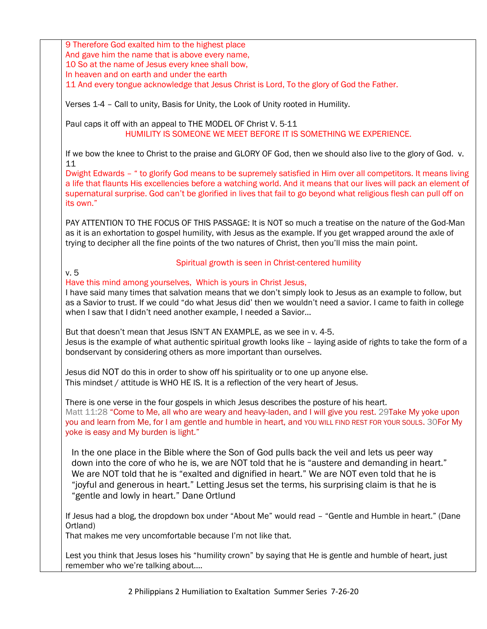9 Therefore God exalted him to the highest place And gave him the name that is above every name, 10 So at the name of Jesus every knee shall bow, In heaven and on earth and under the earth

11 And every tongue acknowledge that Jesus Christ is Lord, To the glory of God the Father.

Verses 1-4 – Call to unity, Basis for Unity, the Look of Unity rooted in Humility.

Paul caps it off with an appeal to THE MODEL OF Christ V. 5-11 HUMILITY IS SOMEONE WE MEET BEFORE IT IS SOMETHING WE EXPERIENCE.

If we bow the knee to Christ to the praise and GLORY OF God, then we should also live to the glory of God. v. 11

Dwight Edwards – " to glorify God means to be supremely satisfied in Him over all competitors. It means living a life that flaunts His excellencies before a watching world. And it means that our lives will pack an element of supernatural surprise. God can't be glorified in lives that fail to go beyond what religious flesh can pull off on its own."

PAY ATTENTION TO THE FOCUS OF THIS PASSAGE: It is NOT so much a treatise on the nature of the God-Man as it is an exhortation to gospel humility, with Jesus as the example. If you get wrapped around the axle of trying to decipher all the fine points of the two natures of Christ, then you'll miss the main point.

## Spiritual growth is seen in Christ-centered humility

v. 5

Have this mind among yourselves, Which is yours in Christ Jesus,

I have said many times that salvation means that we don't simply look to Jesus as an example to follow, but as a Savior to trust. If we could "do what Jesus did' then we wouldn't need a savior. I came to faith in college when I saw that I didn't need another example, I needed a Savior…

But that doesn't mean that Jesus ISN'T AN EXAMPLE, as we see in v. 4-5.

Jesus is the example of what authentic spiritual growth looks like – laying aside of rights to take the form of a bondservant by considering others as more important than ourselves.

Jesus did NOT do this in order to show off his spirituality or to one up anyone else. This mindset / attitude is WHO HE IS. It is a reflection of the very heart of Jesus.

There is one verse in the four gospels in which Jesus describes the posture of his heart. Matt 11:28 "Come to Me, all who are weary and heavy-laden, and I will give you rest. 29Take My yoke upon

you and learn from Me, for I am gentle and humble in heart, and YOU WILL FIND REST FOR YOUR SOULS. 30For My yoke is easy and My burden is light."

In the one place in the Bible where the Son of God pulls back the veil and lets us peer way down into the core of who he is, we are NOT told that he is "austere and demanding in heart." We are NOT told that he is "exalted and dignified in heart." We are NOT even told that he is "joyful and generous in heart." Letting Jesus set the terms, his surprising claim is that he is "gentle and lowly in heart." Dane Ortlund

If Jesus had a blog, the dropdown box under "About Me" would read – "Gentle and Humble in heart." (Dane Ortland)

That makes me very uncomfortable because I'm not like that.

Lest you think that Jesus loses his "humility crown" by saying that He is gentle and humble of heart, just remember who we're talking about….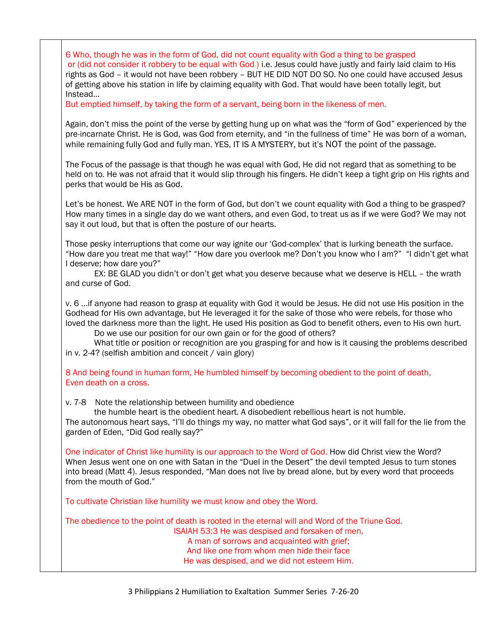6 Who, though he was in the form of God, did not count equality with God a thing to be grasped or (did not consider it robbery to be equal with God ) i.e. Jesus could have justly and fairly laid claim to His rights as God – it would not have been robbery – BUT HE DID NOT DO SO. No one could have accused Jesus of getting above his station in life by claiming equality with God. That would have been totally legit, but Instead…

But emptied himself, by taking the form of a servant, being born in the likeness of men.

Again, don't miss the point of the verse by getting hung up on what was the "form of God" experienced by the pre-incarnate Christ. He is God, was God from eternity, and "in the fullness of time" He was born of a woman, while remaining fully God and fully man. YES, IT IS A MYSTERY, but it's NOT the point of the passage.

The Focus of the passage is that though he was equal with God, He did not regard that as something to be held on to. He was not afraid that it would slip through his fingers. He didn't keep a tight grip on His rights and perks that would be His as God.

Let's be honest. We ARE NOT in the form of God, but don't we count equality with God a thing to be grasped? How many times in a single day do we want others, and even God, to treat us as if we were God? We may not say it out loud, but that is often the posture of our hearts.

Those pesky interruptions that come our way ignite our 'God-complex' that is lurking beneath the surface. "How dare you treat me that way!" "How dare you overlook me? Don't you know who I am?" "I didn't get what I deserve; how dare you?"

EX: BE GLAD you didn't or don't get what you deserve because what we deserve is HELL – the wrath and curse of God.

v. 6 …if anyone had reason to grasp at equality with God it would be Jesus. He did not use His position in the Godhead for His own advantage, but He leveraged it for the sake of those who were rebels, for those who loved the darkness more than the light. He used His position as God to benefit others, even to His own hurt.

Do we use our position for our own gain or for the good of others?

What title or position or recognition are you grasping for and how is it causing the problems described in v. 2-4? (selfish ambition and conceit / vain glory)

8 And being found in human form, He humbled himself by becoming obedient to the point of death, Even death on a cross.

v. 7-8 Note the relationship between humility and obedience

the humble heart is the obedient heart. A disobedient rebellious heart is not humble.

The autonomous heart says, "I'll do things my way, no matter what God says", or it will fall for the lie from the garden of Eden, "Did God really say?"

One indicator of Christ like humility is our approach to the Word of God. How did Christ view the Word? When Jesus went one on one with Satan in the "Duel in the Desert" the devil tempted Jesus to turn stones into bread (Matt 4). Jesus responded, "Man does not live by bread alone, but by every word that proceeds from the mouth of God."

To cultivate Christian like humility we must know and obey the Word.

The obedience to the point of death is rooted in the eternal will and Word of the Triune God. ISAIAH 53:3 He was despised and forsaken of men, A man of sorrows and acquainted with grief; And like one from whom men hide their face He was despised, and we did not esteem Him.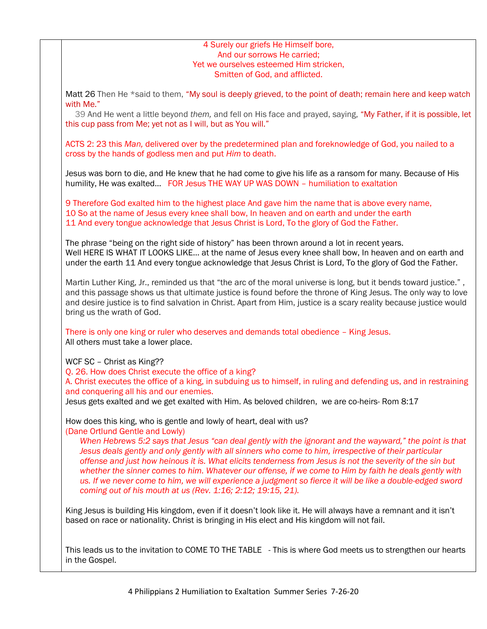## 4 Surely our griefs He Himself bore, And our sorrows He carried; Yet we ourselves esteemed Him stricken, Smitten of God, and afflicted.

Matt 26 Then He \*said to them, "My soul is deeply grieved, to the point of death; remain here and keep watch with Me."

39 And He went a little beyond *them,* and fell on His face and prayed, saying, "My Father, if it is possible, let this cup pass from Me; yet not as I will, but as You will."

ACTS 2: 23 this *Man,* delivered over by the predetermined plan and foreknowledge of God, you nailed to a cross by the hands of godless men and put *Him* to death.

Jesus was born to die, and He knew that he had come to give his life as a ransom for many. Because of His humility, He was exalted… FOR Jesus THE WAY UP WAS DOWN – humiliation to exaltation

9 Therefore God exalted him to the highest place And gave him the name that is above every name, 10 So at the name of Jesus every knee shall bow, In heaven and on earth and under the earth 11 And every tongue acknowledge that Jesus Christ is Lord, To the glory of God the Father.

The phrase "being on the right side of history" has been thrown around a lot in recent years. Well HERE IS WHAT IT LOOKS LIKE... at the name of Jesus every knee shall bow, In heaven and on earth and under the earth 11 And every tongue acknowledge that Jesus Christ is Lord, To the glory of God the Father.

Martin Luther King, Jr., reminded us that "the arc of the moral universe is long, but it bends toward justice." , and this passage shows us that ultimate justice is found before the throne of King Jesus. The only way to love and desire justice is to find salvation in Christ. Apart from Him, justice is a scary reality because justice would bring us the wrath of God.

There is only one king or ruler who deserves and demands total obedience – King Jesus. All others must take a lower place.

WCF SC – Christ as King??

Q. 26. How does Christ execute the office of a king?

A. Christ executes the office of a king, in subduing us to himself, in ruling and defending us, and in restraining and conquering all his and our enemies.

Jesus gets exalted and we get exalted with Him. As beloved children, we are co-heirs- Rom 8:17

How does this king, who is gentle and lowly of heart, deal with us? (Dane Ortlund Gentle and Lowly)

*When Hebrews 5:2 says that Jesus "can deal gently with the ignorant and the wayward," the point is that Jesus deals gently and only gently with all sinners who come to him, irrespective of their particular offense and just how heinous it is. What elicits tenderness from Jesus is not the severity of the sin but whether the sinner comes to him. Whatever our offense, if we come to Him by faith he deals gently with*  us. If we never come to him, we will experience a judgment so fierce it will be like a double-edged sword *coming out of his mouth at us (Rev. 1:16; 2:12; 19:15, 21).*

King Jesus is building His kingdom, even if it doesn't look like it. He will always have a remnant and it isn't based on race or nationality. Christ is bringing in His elect and His kingdom will not fail.

This leads us to the invitation to COME TO THE TABLE - This is where God meets us to strengthen our hearts in the Gospel.